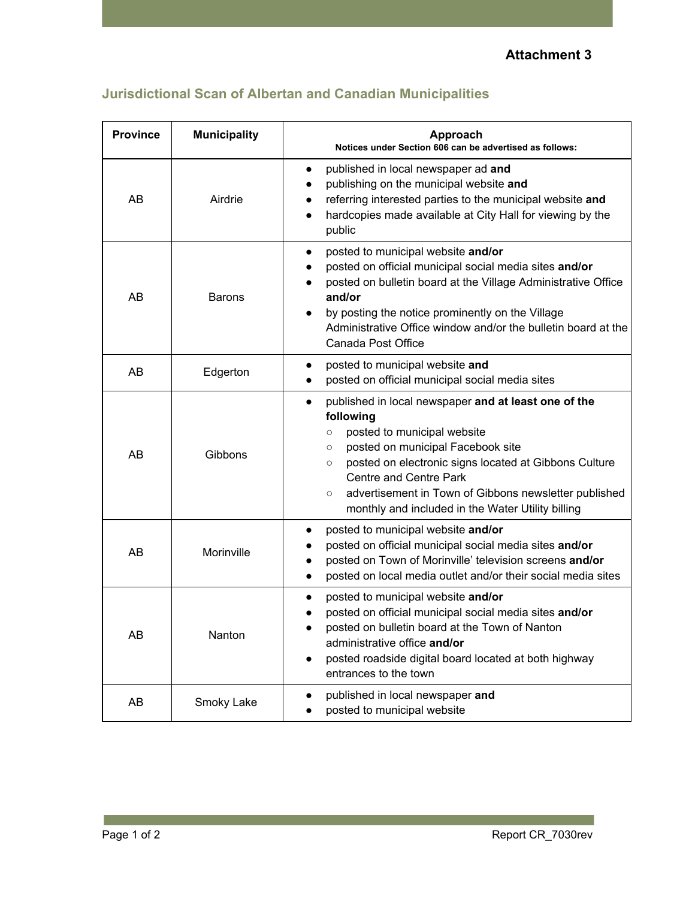**Attachment 3**

| <b>Province</b> | <b>Municipality</b> | Approach<br>Notices under Section 606 can be advertised as follows:                                                                                                                                                                                                                                                                                                                                    |
|-----------------|---------------------|--------------------------------------------------------------------------------------------------------------------------------------------------------------------------------------------------------------------------------------------------------------------------------------------------------------------------------------------------------------------------------------------------------|
| AB              | Airdrie             | published in local newspaper ad and<br>$\bullet$<br>publishing on the municipal website and<br>$\bullet$<br>referring interested parties to the municipal website and<br>$\bullet$<br>hardcopies made available at City Hall for viewing by the<br>$\bullet$<br>public                                                                                                                                 |
| AB              | <b>Barons</b>       | posted to municipal website and/or<br>$\bullet$<br>posted on official municipal social media sites and/or<br>posted on bulletin board at the Village Administrative Office<br>and/or<br>by posting the notice prominently on the Village<br>Administrative Office window and/or the bulletin board at the<br>Canada Post Office                                                                        |
| AB              | Edgerton            | posted to municipal website and<br>$\bullet$<br>posted on official municipal social media sites                                                                                                                                                                                                                                                                                                        |
| AB              | Gibbons             | published in local newspaper and at least one of the<br>$\bullet$<br>following<br>posted to municipal website<br>$\circ$<br>posted on municipal Facebook site<br>$\circ$<br>posted on electronic signs located at Gibbons Culture<br>$\circ$<br><b>Centre and Centre Park</b><br>advertisement in Town of Gibbons newsletter published<br>$\circ$<br>monthly and included in the Water Utility billing |
| AB              | Morinville          | posted to municipal website and/or<br>$\bullet$<br>posted on official municipal social media sites and/or<br>posted on Town of Morinville' television screens and/or<br>$\bullet$<br>posted on local media outlet and/or their social media sites<br>$\bullet$                                                                                                                                         |
| AB              | Nanton              | posted to municipal website and/or<br>$\bullet$<br>posted on official municipal social media sites and/or<br>posted on bulletin board at the Town of Nanton<br>administrative office and/or<br>posted roadside digital board located at both highway<br>entrances to the town                                                                                                                          |
| AB              | Smoky Lake          | published in local newspaper and<br>posted to municipal website                                                                                                                                                                                                                                                                                                                                        |

## **Jurisdictional Scan of Albertan and Canadian Municipalities**